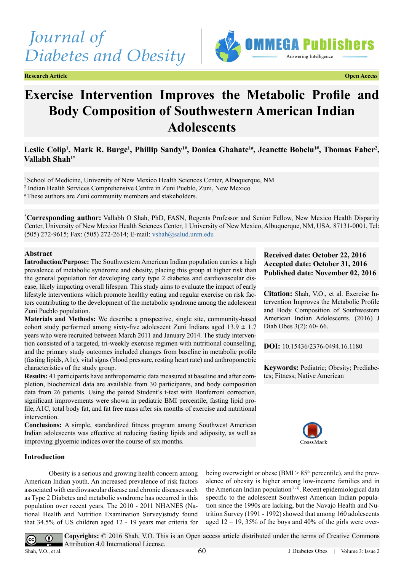# *Journal of Diabetes and Obesity*

**Research Article Open Access**



## **Exercise Intervention Improves the Metabolic Profile and Body Composition of Southwestern American Indian Adolescents**

### Leslie Colip<sup>1</sup>, Mark R. Burge<sup>1</sup>, Phillip Sandy<sup>1#</sup>, Donica Ghahate<sup>1#</sup>, Jeanette Bobelu<sup>1#</sup>, Thomas Faber<sup>2</sup>, **Vallabh Shah1\***

1 School of Medicine, University of New Mexico Health Sciences Center, Albuquerque, NM 2 Indian Health Services Comprehensive Centre in Zuni Pueblo, Zuni, New Mexico # These authors are Zuni community members and stakeholders.

**\* Corresponding author:** Vallabh O Shah, PhD, FASN, Regents Professor and Senior Fellow, New Mexico Health Disparity Center, University of New Mexico Health Sciences Center, 1 University of New Mexico, Albuquerque, NM, USA, 87131-0001, Tel: (505) 272-9615; Fax: (505) 272-2614; E-mail: [vshah@salud.unm.edu](mailto:vshah@salud.unm.edu)

#### **Abstract**

**Introduction/Purpose:** The Southwestern American Indian population carries a high prevalence of metabolic syndrome and obesity, placing this group at higher risk than the general population for developing early type 2 diabetes and cardiovascular disease, likely impacting overall lifespan. This study aims to evaluate the impact of early lifestyle interventions which promote healthy eating and regular exercise on risk factors contributing to the development of the metabolic syndrome among the adolescent Zuni Pueblo population.

**Materials and Methods:** We describe a prospective, single site, community-based cohort study performed among sixty-five adolescent Zuni Indians aged  $13.9 \pm 1.7$ years who were recruited between March 2011 and January 2014. The study intervention consisted of a targeted, tri-weekly exercise regimen with nutritional counselling, and the primary study outcomes included changes from baseline in metabolic profile (fasting lipids, A1c), vital signs (blood pressure, resting heart rate) and anthropometric characteristics of the study group.

**Results:** 41 participants have anthropometric data measured at baseline and after completion, biochemical data are available from 30 participants, and body composition data from 26 patients. Using the paired Student's t-test with Bonferroni correction, significant improvements were shown in pediatric BMI percentile, fasting lipid profile, A1C, total body fat, and fat free mass after six months of exercise and nutritional intervention.

**Conclusions:** A simple, standardized fitness program among Southwest American Indian adolescents was effective at reducing fasting lipids and adiposity, as well as improving glycemic indices over the course of six months.

#### **Introduction**

 $\overline{cc}$ 

Obesity is a serious and growing health concern among American Indian youth. An increased prevalence of risk factors associated with cardiovascular disease and chronic diseases such as Type 2 Diabetes and metabolic syndrome has occurred in this population over recent years. The 2010 - 2011 NHANES (National Health and Nutrition Examination Survey)study found that 34.5% of US children aged 12 - 19 years met criteria for

#### **Received date: October 22, 2016 Accepted date: October 31, 2016 Published date: November 02, 2016**

**Citation:** Shah, V.O., et al. Exercise Intervention Improves the Metabolic Profile and Body Composition of Southwestern American Indian Adolescents. (2016) J Diab Obes 3(2): 60- 66.

**DOI:** [10.15436/2376-0494.16.1](http://www.dx.doi.org/10.15436/2376-0494.16.1180
)180

**Keywords:** Pediatric; Obesity; Prediabetes; Fitness; Native American



being overweight or obese (BMI  $> 85<sup>th</sup>$  percentile), and the prevalence of obesity is higher among low-income families and in the American Indian population $[1-3]$ . Recent epidemiological data specific to the adolescent Southwest American Indian population since the 1990s are lacking, but the Navajo Health and Nutrition Survey (1991 - 1992) showed that among 160 adolescents aged  $12 - 19$ , 35% of the boys and 40% of the girls were over-

**Copyrights:** © 2016 Shah, V.O. This is an Open access article distributed under the terms of Creative Commons  $^{\circ}$ Attribution 4.0 International License. Shah, V.O., et al. 60 J Diabetes Obes | Volume 3: Issue 2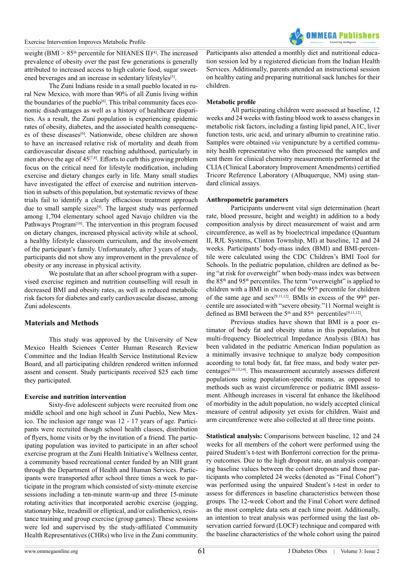

weight (BMI  $> 85<sup>th</sup>$  percentile for NHANES II)<sup>[4]</sup>. The increased prevalence of obesity over the past few generations is generally attributed to increased access to high calorie food, sugar sweet-ened beverages and an increase in sedentary lifestyles<sup>[\[5\]](#page-6-2)</sup>.

The Zuni Indians reside in a small pueblo located in rural New Mexico, with more than 90% of all Zunis living within the boundaries of the pueblo<sup>[\[6\]](#page-6-3)</sup>. This tribal community faces economic disadvantages as well as a history of healthcare disparities. As a result, the Zuni population is experiencing epidemic rates of obesity, diabetes, and the associated health consequenc-es of these diseases<sup>[\[6\]](#page-6-3)</sup>. Nationwide, obese children are shown to have an increased relative risk of mortality and death from cardiovascular disease after reaching adulthood, particularly in men above the age of  $45^{[7,8]}$ . Efforts to curb this growing problem focus on the critical need for lifestyle modification, including exercise and dietary changes early in life. Many small studies have investigated the effect of exercise and nutrition intervention in subsets of this population, but systematic reviews of these trials fail to identify a clearly efficacious treatment approach due to small sample sizes<sup>[\[9\]](#page-6-5)</sup>. The largest study was performed among 1,704 elementary school aged Navajo children via the Pathways Program<sup>[\[10\]](#page-6-6)</sup>. The intervention in this program focused on dietary changes, increased physical activity while at school, a healthy lifestyle classroom curriculum, and the involvement of the participant's family. Unfortunately, after 3 years of study, participants did not show any improvement in the prevalence of obesity or any increase in physical activity.

We postulate that an after school program with a supervised exercise regimen and nutrition counselling will result in decreased BMI and obesity rates, as well as reduced metabolic risk factors for diabetes and early cardiovascular disease, among Zuni adolescents.

#### **Materials and Methods**

This study was approved by the University of New Mexico Health Sciences Center Human Research Review Committee and the Indian Health Service Institutional Review Board, and all participating children rendered written informed assent and consent. Study participants received \$25 each time they participated.

#### **Exercise and nutrition intervention**

Sixty-five adolescent subjects were recruited from one middle school and one high school in Zuni Pueblo, New Mexico. The inclusion age range was 12 - 17 years of age. Participants were recruited though school health classes, distribution of flyers, home visits or by the invitation of a friend. The participating population was invited to participate in an after school exercise program at the Zuni Health Initiative's Wellness center, a community based recreational center funded by an NIH grant through the Department of Health and Human Services. Participants were transported after school three times a week to participate in the program which consisted of sixty-minute exercise sessions including a ten-minute warm-up and three 15-minute rotating activities that incorporated aerobic exercise (jogging, stationary bike, treadmill or elliptical, and/or calisthenics), resistance training and group exercise (group games). These sessions were led and supervised by the study-affiliated Community Health Representatives (CHRs) who live in the Zuni community.

Participants also attended a monthly diet and nutritional education session led by a registered dietician from the Indian Health Services. Additionally, parents attended an instructional session on healthy eating and preparing nutritional sack lunches for their children.

#### **Metabolic profile**

All participating children were assessed at baseline, 12 weeks and 24 weeks with fasting blood work to assess changes in metabolic risk factors, including a fasting lipid panel, A1C, liver function tests, uric acid, and urinary albumin to creatinine ratio. Samples were obtained *via* venipuncture by a certified community health representative who then processed the samples and sent them for clinical chemistry measurements performed at the CLIA (Clinical Laboratory Improvement Amendments) certified Tricore Reference Laboratory (Albuquerque, NM) using standard clinical assays.

#### **Anthropometric parameters**

Participants underwent vital sign determination (heart rate, blood pressure, height and weight) in addition to a body composition analysis by direct measurement of waist and arm circumference, as well as by bioelectrical impedance (Quantum II, RJL Systems, Clinton Township, MI) at baseline, 12 and 24 weeks. Participants' body-mass index (BMI) and BMI-percentile were calculated using the CDC Children's BMI Tool for Schools. In the pediatric population, children are defined as being "at risk for overweight" when body-mass index was between the 85<sup>th</sup> and 95<sup>th</sup> percentiles. The term "overweight" is applied to children with a BMI in excess of the 95<sup>th</sup> percentile for children of the same age and sex<sup>[\[9,11,12\]](#page-6-5)</sup>. BMIs in excess of the 99<sup>th</sup> percentile are associated with "severe obesity."11 Normal weight is defined as BMI between the  $5<sup>th</sup>$  and  $85<sup>th</sup>$  percentiles<sup>[\[9,11,12\]](#page-6-5)</sup>.

Previous studies have shown that BMI is a poor estimator of body fat and obesity status in this population, but multi-frequency Bioelectrical Impedance Analysis (BIA) has been validated in the pediatric American Indian population as a minimally invasive technique to analyze body composition according to total body fat, fat free mass, and body water percentages<sup>[10,13,14]</sup>. This measurement accurately assesses different populations using population-specific means, as opposed to methods such as waist circumference or pediatric BMI assessment. Although increases in visceral fat enhance the likelihood of morbidity in the adult population, no widely accepted clinical measure of central adiposity yet exists for children. Waist and arm circumference were also collected at all three time points.

**Statistical analysis:** Comparisons between baseline, 12 and 24 weeks for all members of the cohort were performed using the paired Student's t-test with Bonferroni correction for the primary outcomes. Due to the high dropout rate, an analysis comparing baseline values between the cohort dropouts and those participants who completed 24 weeks (denoted as "Final Cohort") was performed using the unpaired Student's t-test in order to assess for differences in baseline characteristics between those groups. The 12-week Cohort and the Final Cohort were defined as the most complete data sets at each time point. Additionally, an intention to treat analysis was performed using the last observation carried forward (LOCF) technique and compared with the baseline characteristics of the whole cohort using the paired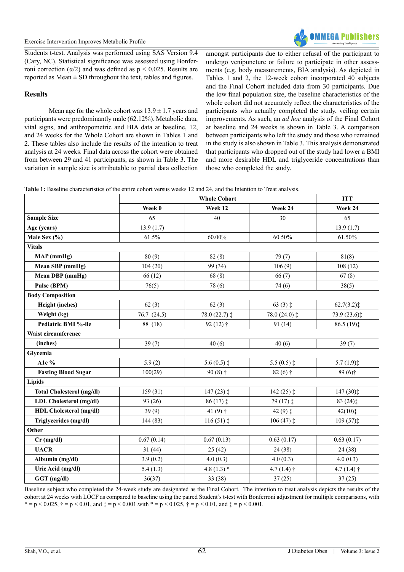

Students t-test. Analysis was performed using SAS Version 9.4 (Cary, NC). Statistical significance was assessed using Bonferroni correction ( $\alpha/2$ ) and was defined as p < 0.025. Results are reported as  $Mean \pm SD$  throughout the text, tables and figures.

#### **Results**

Mean age for the whole cohort was  $13.9 \pm 1.7$  years and participants were predominantly male (62.12%). Metabolic data, vital signs, and anthropometric and BIA data at baseline, 12, and 24 weeks for the Whole Cohort are shown in Tables 1 and 2. These tables also include the results of the intention to treat analysis at 24 weeks. Final data across the cohort were obtained from between 29 and 41 participants, as shown in Table 3. The variation in sample size is attributable to partial data collection

amongst participants due to either refusal of the participant to undergo venipuncture or failure to participate in other assessments (e.g. body measurements, BIA analysis). As depicted in Tables 1 and 2, the 12-week cohort incorporated 40 subjects and the Final Cohort included data from 30 participants. Due the low final population size, the baseline characteristics of the whole cohort did not accurately reflect the characteristics of the participants who actually completed the study, veiling certain improvements. As such, an *ad hoc* analysis of the Final Cohort at baseline and 24 weeks is shown in Table 3. A comparison between participants who left the study and those who remained in the study is also shown in Table 3. This analysis demonstrated that participants who dropped out of the study had lower a BMI and more desirable HDL and triglyceride concentrations than those who completed the study.

**Table 1:** Baseline characteristics of the entire cohort versus weeks 12 and 24, and the Intention to Treat analysis.

|                                  | <b>Whole Cohort</b> |                         |                                           | <b>ITT</b>             |
|----------------------------------|---------------------|-------------------------|-------------------------------------------|------------------------|
|                                  | Week 0              | Week 12                 | Week 24                                   | Week 24                |
| <b>Sample Size</b>               | 65                  | 40                      | 30                                        | 65                     |
| Age (years)                      | 13.9(1.7)           |                         |                                           | 13.9(1.7)              |
| Male Sex $(\% )$                 | 61.5%               | $60.00\%$               | 60.50%                                    | 61.50%                 |
| <b>Vitals</b>                    |                     |                         |                                           |                        |
| MAP (mmHg)                       | 80(9)               | 82(8)                   | 79(7)                                     | 81(8)                  |
| Mean SBP (mmHg)                  | 104(20)             | 99 (34)                 | 106(9)                                    | 108(12)                |
| Mean DBP (mmHg)                  | 66(12)              | 68(8)                   | 66(7)                                     | 67(8)                  |
| Pulse (BPM)                      | 76(5)               | 78 (6)                  | 74(6)                                     | 38(5)                  |
| <b>Body Composition</b>          |                     |                         |                                           |                        |
| Height (inches)                  | 62(3)               | 62(3)                   | $63(3)$ $\ddagger$                        | 62.7(3.2)              |
| Weight (kg)                      | 76.7(24.5)          | $78.0(22.7)$ $\ddagger$ | 78.0 (24.0) $\ddagger$                    | 73.9 (23.6) $\ddagger$ |
| Pediatric BMI %-ile              | 88 (18)             | $92(12)$ †              | 91 (14)                                   | 86.5(19)               |
| Waist circumference              |                     |                         |                                           |                        |
| (inches)                         | 39(7)               | 40(6)                   | 40(6)                                     | 39(7)                  |
| Glycemia                         |                     |                         |                                           |                        |
| A1c %                            | 5.9(2)              | $5.6(0.5)$ $\dagger$    | $5.5(0.5)$ $\ddagger$                     | 5.7(1.9)               |
| <b>Fasting Blood Sugar</b>       | 100(29)             | $90(8)$ †               | $82(6)$ †                                 | $89(6)$ †              |
| Lipids                           |                     |                         |                                           |                        |
| <b>Total Cholesterol (mg/dl)</b> | 159(31)             | $147(23)$ $\ddagger$    | $142(25)$ $\ddagger$                      | 147(30)                |
| LDL Cholesterol (mg/dl)          | 93 (26)             | $86(17)$ $\ddagger$     | $79(17)$ $\ddagger$                       | $83(24)$ <sup>+</sup>  |
| <b>HDL Cholesterol (mg/dl)</b>   | 39(9)               | 41 $(9)$ <sup>†</sup>   | 42 $(9)$ <sup><math>\ddagger</math></sup> | $42(10)$ <sup>+</sup>  |
| Triglycerides (mg/dl)            | 144 (83)            | $116(51)$ $\ddagger$    | $106(47)$ $\ddagger$                      | 109(57)                |
| Other                            |                     |                         |                                           |                        |
| $Cr$ (mg/dl)                     | 0.67(0.14)          | 0.67(0.13)              | 0.63(0.17)                                | 0.63(0.17)             |
| <b>UACR</b>                      | 31(44)              | 25(42)                  | 24 (38)                                   | 24(38)                 |
| Albumin (mg/dl)                  | 3.9(0.2)            | 4.0(0.3)                | 4.0(0.3)                                  | 4.0(0.3)               |
| Uric Acid (mg/dl)                | 5.4(1.3)            | 4.8 $(1.3)$ *           | $4.7(1.4)$ †                              | $4.7(1.4)$ †           |
| GGT (mg/dl)                      | 36(37)              | 33 (38)                 | 37(25)                                    | 37(25)                 |

Baseline subject who completed the 24-week study are designated as the Final Cohort. The intention to treat analysis depicts the results of the cohort at 24 weeks with LOCF as compared to baseline using the paired Student's t-test with Bonferroni adjustment for multiple comparisons, with  $* = p < 0.025$ ,  $\dagger = p < 0.01$ , and  $\ddagger = p < 0.001$ . with  $* = p < 0.025$ ,  $\dagger = p < 0.01$ , and  $\ddagger = p < 0.001$ .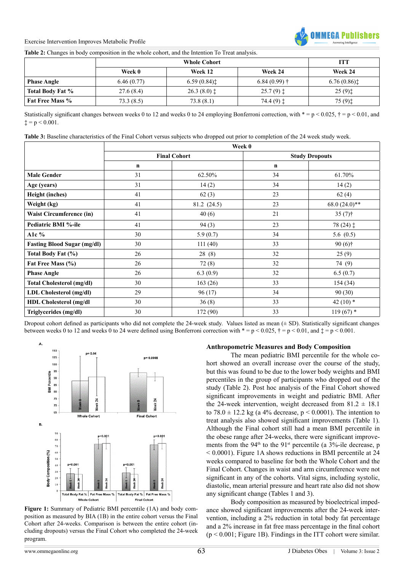

**Table 2:** Changes in body composition in the whole cohort, and the Intention To Treat analysis.

|                        | <b>Whole Cohort</b> |                        |                       | <b>ITT</b>                              |
|------------------------|---------------------|------------------------|-----------------------|-----------------------------------------|
|                        | Week 0              | Week 12                | Week 24               | Week 24                                 |
| <b>Phase Angle</b>     | 6.46(0.77)          | 6.59(0.84)             | $6.84(0.99)$ †        | 6.76(0.86)                              |
| Total Body Fat %       | 27.6 (8.4)          | $26.3(8.0)$ $\ddagger$ | $25.7(9)$ $\ddagger$  | $25(9)$ <sup><math>\dagger</math></sup> |
| <b>Fat Free Mass %</b> | 73.3(8.5)           | 73.8(8.1)              | 74.4 $(9)$ $\ddagger$ | $75(9)$ $\dagger$                       |

Statistically significant changes between weeks 0 to 12 and weeks 0 to 24 employing Bonferroni correction, with  $* = p < 0.025$ ,  $\dagger = p < 0.01$ , and  $\dagger$  = p < 0.001.

| Table 3: Baseline characteristics of the Final Cohort versus subjects who dropped out prior to completion of the 24 week study week. |  |  |
|--------------------------------------------------------------------------------------------------------------------------------------|--|--|
|                                                                                                                                      |  |  |

|                                    | Week 0              |             |                       |                     |
|------------------------------------|---------------------|-------------|-----------------------|---------------------|
|                                    | <b>Final Cohort</b> |             | <b>Study Dropouts</b> |                     |
|                                    | $\mathbf n$         |             | $\mathbf n$           |                     |
| <b>Male Gender</b>                 | 31                  | 62.50%      | 34                    | 61.70%              |
| Age (years)                        | 31                  | 14(2)       | 34                    | 14(2)               |
| <b>Height (inches)</b>             | 41                  | 62(3)       | 23                    | 62(4)               |
| Weight (kg)                        | 41                  | 81.2 (24.5) | 23                    | $68.0(24.0)**$      |
| <b>Waist Circumference (in)</b>    | 41                  | 40(6)       | 21                    | 35 $(7)$ †          |
| Pediatric BMI %-ile                | 41                  | 94(3)       | 23                    | $78(24)$ $\ddagger$ |
| A1c $%$                            | 30                  | 5.9(0.7)    | 34                    | 5.6 $(0.5)$         |
| <b>Fasting Blood Sugar (mg/dl)</b> | 30                  | 111(40)     | 33                    | $90(6)$ †           |
| Total Body Fat (%)                 | 26                  | 28(8)       | 32                    | 25(9)               |
| Fat Free Mass (%)                  | 26                  | 72(8)       | 32                    | 74 (9)              |
| <b>Phase Angle</b>                 | 26                  | 6.3(0.9)    | 32                    | 6.5(0.7)            |
| <b>Total Cholesterol (mg/dl)</b>   | 30                  | 163(26)     | 33                    | 154(34)             |
| LDL Cholesterol (mg/dl)            | 29                  | 96(17)      | 34                    | 90(30)              |
| <b>HDL Cholesterol (mg/dl)</b>     | 30                  | 36(8)       | 33                    | 42 $(10)*$          |
| Triglycerides (mg/dl)              | 30                  | 172 (90)    | 33                    | $119(67)$ *         |

Dropout cohort defined as participants who did not complete the 24-week study. Values listed as mean  $(\pm SD)$ . Statistically significant changes between weeks 0 to 12 and weeks 0 to 24 were defined using Bonferroni correction with  $* = p < 0.025$ ,  $\dagger = p < 0.01$ , and  $\dagger = p < 0.001$ .



**Figure 1:** Summary of Pediatric BMI percentile (1A) and body composition as measured by BIA (1B) in the entire cohort versus the Final Cohort after 24-weeks. Comparison is between the entire cohort (including dropouts) versus the Final Cohort who completed the 24-week program.

#### **Anthropometric Measures and Body Composition**

The mean pediatric BMI percentile for the whole cohort showed an overall increase over the course of the study, but this was found to be due to the lower body weights and BMI percentiles in the group of participants who dropped out of the study (Table 2). Post hoc analysis of the Final Cohort showed significant improvements in weight and pediatric BMI. After the 24-week intervention, weight decreased from  $81.2 \pm 18.1$ to 78.0  $\pm$  12.2 kg (a 4% decrease, p < 0.0001). The intention to treat analysis also showed significant improvements (Table 1). Although the Final cohort still had a mean BMI percentile in the obese range after 24-weeks, there were significant improvements from the 94<sup>th</sup> to the 91<sup>st</sup> percentile (a  $3\%$ -ile decrease, p < 0.0001). Figure 1A shows reductions in BMI percentile at 24 weeks compared to baseline for both the Whole Cohort and the Final Cohort. Changes in waist and arm circumference were not significant in any of the cohorts. Vital signs, including systolic, diastolic, mean arterial pressure and heart rate also did not show any significant change (Tables 1 and 3).

Body composition as measured by bioelectrical impedance showed significant improvements after the 24-week intervention, including a 2% reduction in total body fat percentage and a 2% increase in fat free mass percentage in the final cohort  $(p < 0.001$ ; Figure 1B). Findings in the ITT cohort were similar.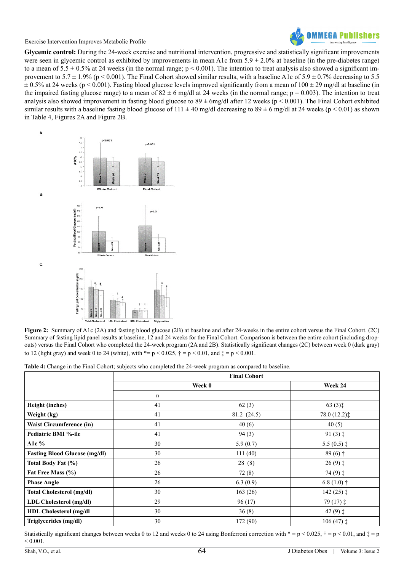

**Glycemic control:** During the 24-week exercise and nutritional intervention, progressive and statistically significant improvements were seen in glycemic control as exhibited by improvements in mean A1c from  $5.9 \pm 2.0\%$  at baseline (in the pre-diabetes range) to a mean of  $5.5 \pm 0.5\%$  at 24 weeks (in the normal range;  $p < 0.001$ ). The intention to treat analysis also showed a significant improvement to  $5.7 \pm 1.9\%$  (p < 0.001). The Final Cohort showed similar results, with a baseline A1c of  $5.9 \pm 0.7\%$  decreasing to 5.5  $\pm$  0.5% at 24 weeks (p < 0.001). Fasting blood glucose levels improved significantly from a mean of 100  $\pm$  29 mg/dl at baseline (in the impaired fasting glucose range) to a mean of  $82 \pm 6$  mg/dl at 24 weeks (in the normal range;  $p = 0.003$ ). The intention to treat analysis also showed improvement in fasting blood glucose to  $89 \pm 6$ mg/dl after 12 weeks (p < 0.001). The Final Cohort exhibited similar results with a baseline fasting blood glucose of  $111 \pm 40$  mg/dl decreasing to  $89 \pm 6$  mg/dl at 24 weeks (p < 0.01) as shown in Table 4, Figures 2A and Figure 2B.



**Figure 2:** Summary of A1c (2A) and fasting blood glucose (2B) at baseline and after 24-weeks in the entire cohort versus the Final Cohort. (2C) Summary of fasting lipid panel results at baseline, 12 and 24 weeks for the Final Cohort. Comparison is between the entire cohort (including dropouts) versus the Final Cohort who completed the 24-week program (2A and 2B). Statistically significant changes (2C) between week 0 (dark gray) to 12 (light gray) and week 0 to 24 (white), with  $*= p < 0.025, \dot{\tau} = p < 0.01$ , and  $\dot{\tau} = p < 0.001$ .

**Table 4:** Change in the Final Cohort; subjects who completed the 24-week program as compared to baseline.

|                                      | <b>Final Cohort</b> |             |                        |  |
|--------------------------------------|---------------------|-------------|------------------------|--|
|                                      | Week 0              |             | Week 24                |  |
|                                      | $\mathbf n$         |             |                        |  |
| Height (inches)                      | 41                  | 62(3)       | $63(3)$ <sup>+</sup>   |  |
| Weight (kg)                          | 41                  | 81.2 (24.5) | 78.0(12.2)             |  |
| <b>Waist Circumference (in)</b>      | 41                  | 40(6)       | 40(5)                  |  |
| Pediatric BMI %-ile                  | 41                  | 94(3)       | $91(3)$ $\ddagger$     |  |
| Alc $%$                              | 30                  | 5.9(0.7)    | 5.5 $(0.5)$ $\ddagger$ |  |
| <b>Fasting Blood Glucose (mg/dl)</b> | 30                  | 111(40)     | $89(6)$ †              |  |
| Total Body Fat (%)                   | 26                  | 28(8)       | $26(9)$ $\ddagger$     |  |
| Fat Free Mass (%)                    | 26                  | 72(8)       | $74(9)$ $\ddagger$     |  |
| <b>Phase Angle</b>                   | 26                  | 6.3(0.9)    | 6.8 $(1.0)$ †          |  |
| <b>Total Cholesterol (mg/dl)</b>     | 30                  | 163(26)     | $142(25)$ $\ddagger$   |  |
| LDL Cholesterol (mg/dl)              | 29                  | 96(17)      | $79(17)$ $\ddagger$    |  |
| <b>HDL Cholesterol (mg/dl)</b>       | 30                  | 36(8)       | 42 $(9)$ $\dagger$     |  |
| Triglycerides (mg/dl)                | 30                  | 172 (90)    | $106(47)$ $\ddagger$   |  |

Statistically significant changes between weeks 0 to 12 and weeks 0 to 24 using Bonferroni correction with  $* = p \lt 0.025$ ,  $\dagger = p \lt 0.01$ , and  $\ddagger = p$  $< 0.001$ .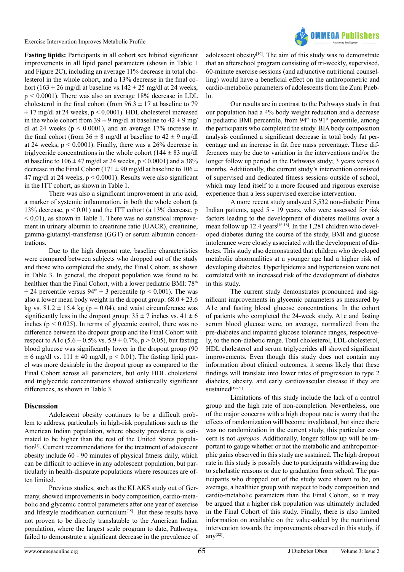

**Fasting lipids:** Participants in all cohort sex hibited significant improvements in all lipid panel parameters (shown in Table 1 and Figure 2C), including an average 11% decrease in total cholesterol in the whole cohort, and a 13% decrease in the final cohort (163  $\pm$  26 mg/dl at baseline vs.142  $\pm$  25 mg/dl at 24 weeks, p < 0.0001). There was also an average 18% decrease in LDL cholesterol in the final cohort (from  $96.3 \pm 17$  at baseline to 79  $\pm$  17 mg/dl at 24 weeks, p < 0.0001). HDL cholesterol increased in the whole cohort from  $39 \pm 9$  mg/dl at baseline to  $42 \pm 9$  mg/ dl at 24 weeks ( $p < 0.0001$ ), and an average 17% increase in the final cohort (from  $36 \pm 8$  mg/dl at baseline to  $42 \pm 9$  mg/dl at 24 weeks,  $p < 0.0001$ ). Finally, there was a 26% decrease in triglyceride concentrations in the whole cohort  $(144 \pm 83 \text{ mg/d})$ at baseline to  $106 \pm 47$  mg/dl at 24 weeks, p < 0.0001) and a 38% decrease in the Final Cohort (171  $\pm$  90 mg/dl at baseline to 106  $\pm$ 47 mg/dl at 24 weeks, p < 0.0001). Results were also significant in the ITT cohort, as shown in Table 1.

There was also a significant improvement in uric acid, a marker of systemic inflammation, in both the whole cohort (a 13% decrease,  $p < 0.01$ ) and the ITT cohort (a 13% decrease, p  $<$  0.01), as shown in Table 1. There was no statistical improvement in urinary albumin to creatinine ratio (UACR), creatinine, gamma-glutamyl-transferase (GGT) or serum albumin concentrations.

Due to the high dropout rate, baseline characteristics were compared between subjects who dropped out of the study and those who completed the study, the Final Cohort, as shown in Table 3. In general, the dropout population was found to be healthier than the Final Cohort, with a lower pediatric BMI: 78<sup>th</sup>  $\pm$  24 percentile versus 94<sup>th</sup>  $\pm$  3 percentile (p < 0.001). The was also a lower mean body weight in the dropout group:  $68.0 \pm 23.6$ kg vs.  $81.2 \pm 15.4$  kg (p = 0.04), and waist circumference was significantly less in the dropout group:  $35 \pm 7$  inches vs.  $41 \pm 6$ inches ( $p < 0.025$ ). In terms of glycemic control, there was no difference between the dropout group and the Final Cohort with respect to A1c (5.6  $\pm$  0.5% vs. 5.9  $\pm$  0.7%, p > 0.05), but fasting blood glucose was significantly lower in the dropout group (90  $\pm$  6 mg/dl vs. 111  $\pm$  40 mg/dl, p < 0.01). The fasting lipid panel was more desirable in the dropout group as compared to the Final Cohort across all parameters, but only HDL cholesterol and triglyceride concentrations showed statistically significant differences, as shown in Table 3.

#### **Discussion**

Adolescent obesity continues to be a difficult problem to address, particularly in high-risk populations such as the American Indian population, where obesity prevalence is estimated to be higher than the rest of the United States population[\[1\]](#page-6-0). Current recommendations for the treatment of adolescent obesity include 60 - 90 minutes of physical fitness daily, which can be difficult to achieve in any adolescent population, but particularly in health-disparate populations where resources are often limited.

Previous studies, such as the KLAKS study out of Germany, showed improvements in body composition, cardio-metabolic and glycemic control parameters after one year of exercise and lifestyle modification curriculum<sup>[\[15\]](#page-6-7)</sup>. But these results have not proven to be directly translatable to the American Indian population, where the largest scale program to date, Pathways, failed to demonstrate a significant decrease in the prevalence of

adolescent obesity<sup>[\[10\]](#page-6-6)</sup>. The aim of this study was to demonstrate that an afterschool program consisting of tri-weekly, supervised, 60-minute exercise sessions (and adjunctive nutritional counselling) would have a beneficial effect on the anthropometric and cardio-metabolic parameters of adolescents from the Zuni Pueblo.

Our results are in contrast to the Pathways study in that our population had a 4% body weight reduction and a decrease in pediatric BMI percentile, from 94<sup>th</sup> to 91<sup>st</sup> percentile, among the participants who completed the study. BIA body composition analysis confirmed a significant decrease in total body fat percentage and an increase in fat free mass percentage. These differences may be due to variation in the interventions and/or the longer follow up period in the Pathways study; 3 years versus 6 months. Additionally, the current study's intervention consisted of supervised and dedicated fitness sessions outside of school, which may lend itself to a more focused and rigorous exercise experience than a less supervised exercise intervention.

A more recent study analyzed 5,532 non-diabetic Pima Indian patients, aged 5 - 19 years, who were assessed for risk factors leading to the development of diabetes mellitus over a mean follow up 12.4 years<sup>[\[16-18\]](#page-6-8)</sup>. In the 1,281 children who developed diabetes during the course of the study, BMI and glucose intolerance were closely associated with the development of diabetes. This study also demonstrated that children who developed metabolic abnormalities at a younger age had a higher risk of developing diabetes. Hyperlipidemia and hypertension were not correlated with an increased risk of the development of diabetes in this study.

The current study demonstrates pronounced and significant improvements in glycemic parameters as measured by A1c and fasting blood glucose concentrations. In the cohort of patients who completed the 24-week study, A1c and fasting serum blood glucose were, on average, normalized from the pre-diabetes and impaired glucose tolerance ranges, respectively, to the non-diabetic range. Total cholesterol, LDL cholesterol, HDL cholesterol and serum triglycerides all showed significant improvements. Even though this study does not contain any information about clinical outcomes, it seems likely that these findings will translate into lower rates of progression to type 2 diabetes, obesity, and early cardiovascular disease if they are sustained[\[19-21\]](#page-6-9).

Limitations of this study include the lack of a control group and the high rate of non-completion. Nevertheless, one of the major concerns with a high dropout rate is worry that the effects of randomization will become invalidated, but since there was no randomization in the current study, this particular concern is not *apropos*. Additionally, longer follow up will be important to gauge whether or not the metabolic and anthropomorphic gains observed in this study are sustained. The high dropout rate in this study is possibly due to participants withdrawing due to scholastic reasons or due to graduation from school. The participants who dropped out of the study were shown to be, on average, a healthier group with respect to body composition and cardio-metabolic parameters than the Final Cohort, so it may be argued that a higher risk population was ultimately included in the Final Cohort of this study. Finally, there is also limited information on available on the value-added by the nutritional intervention towards the improvements observed in this study, if any $[22]$ .